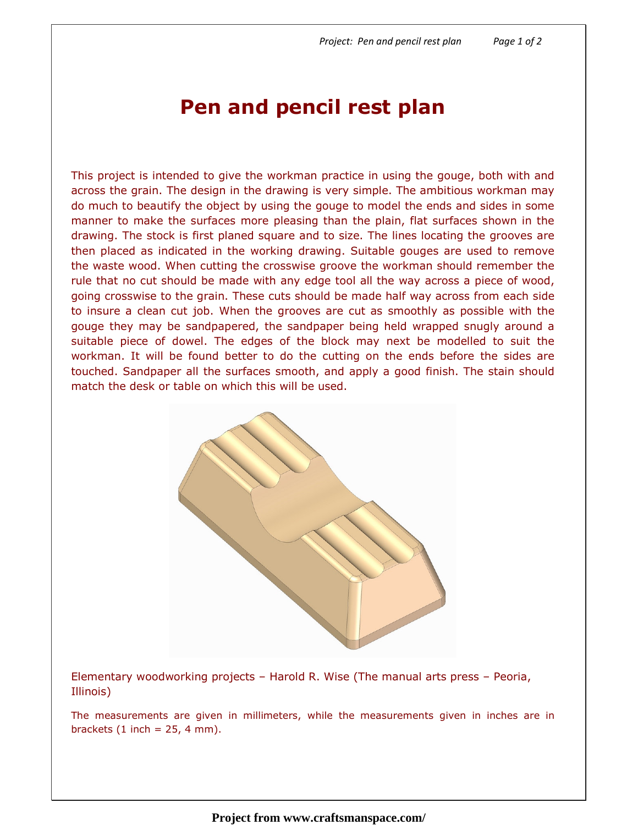## Pen and pencil rest plan

This project is intended to give the workman practice in using the gouge, both with and across the grain. The design in the drawing is very simple. The ambitious workman may do much to beautify the object by using the gouge to model the ends and sides in some manner to make the surfaces more pleasing than the plain, flat surfaces shown in the drawing. The stock is first planed square and to size. The lines locating the grooves are then placed as indicated in the working drawing. Suitable gouges are used to remove the waste wood. When cutting the crosswise groove the workman should remember the rule that no cut should be made with any edge tool all the way across a piece of wood, going crosswise to the grain. These cuts should be made half way across from each side to insure a clean cut job. When the grooves are cut as smoothly as possible with the gouge they may be sandpapered, the sandpaper being held wrapped snugly around a suitable piece of dowel. The edges of the block may next be modelled to suit the workman. It will be found better to do the cutting on the ends before the sides are touched. Sandpaper all the surfaces smooth, and apply a good finish. The stain should match the desk or table on which this will be used.



Elementary woodworking projects – Harold R. Wise (The manual arts press – Peoria, Illinois)

The measurements are given in millimeters, while the measurements given in inches are in brackets  $(1$  inch = 25, 4 mm).